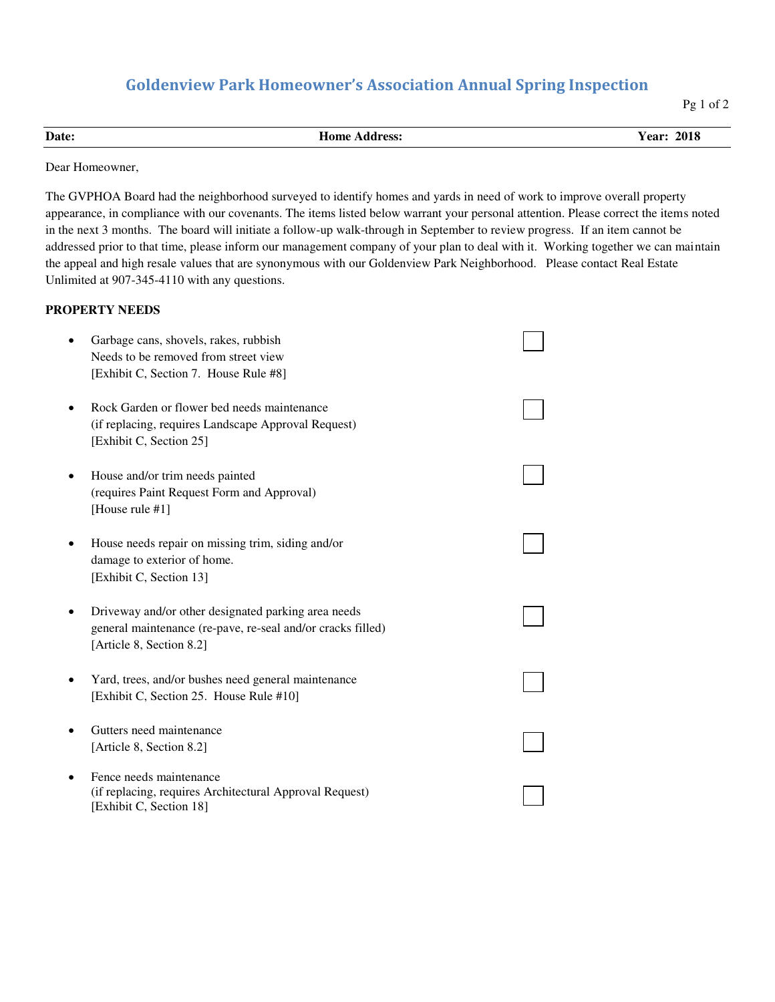## **Goldenview Park Homeowner's Association Annual Spring Inspection**

Pg 1 of 2

| Date: | Home<br>Address: | 2018<br>$\mathbf{r}$<br>∡ear∙ |
|-------|------------------|-------------------------------|
|       |                  |                               |

Dear Homeowner,

The GVPHOA Board had the neighborhood surveyed to identify homes and yards in need of work to improve overall property appearance, in compliance with our covenants. The items listed below warrant your personal attention. Please correct the items noted in the next 3 months. The board will initiate a follow-up walk-through in September to review progress. If an item cannot be addressed prior to that time, please inform our management company of your plan to deal with it. Working together we can maintain the appeal and high resale values that are synonymous with our Goldenview Park Neighborhood. Please contact Real Estate Unlimited at 907-345-4110 with any questions.

## **PROPERTY NEEDS**

| Garbage cans, shovels, rakes, rubbish<br>Needs to be removed from street view<br>[Exhibit C, Section 7. House Rule #8]                         |  |
|------------------------------------------------------------------------------------------------------------------------------------------------|--|
| Rock Garden or flower bed needs maintenance<br>(if replacing, requires Landscape Approval Request)<br>[Exhibit C, Section 25]                  |  |
| House and/or trim needs painted<br>(requires Paint Request Form and Approval)<br>[House rule #1]                                               |  |
| House needs repair on missing trim, siding and/or<br>damage to exterior of home.<br>[Exhibit C, Section 13]                                    |  |
| Driveway and/or other designated parking area needs<br>general maintenance (re-pave, re-seal and/or cracks filled)<br>[Article 8, Section 8.2] |  |
| Yard, trees, and/or bushes need general maintenance<br>[Exhibit C, Section 25. House Rule #10]                                                 |  |
| Gutters need maintenance<br>[Article 8, Section 8.2]                                                                                           |  |
| Fence needs maintenance<br>(if replacing, requires Architectural Approval Request)<br>[Exhibit C, Section 18]                                  |  |